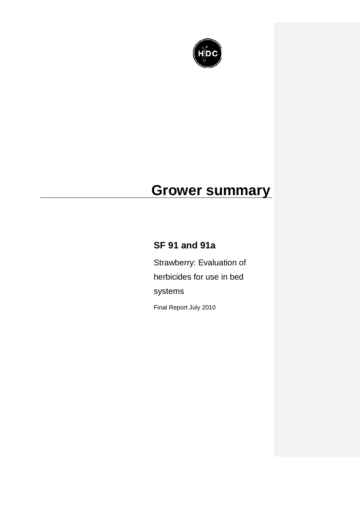

# **Grower summary**

# **SF 91 and 91a**

Strawberry: Evaluation of herbicides for use in bed systems

Final Report July 2010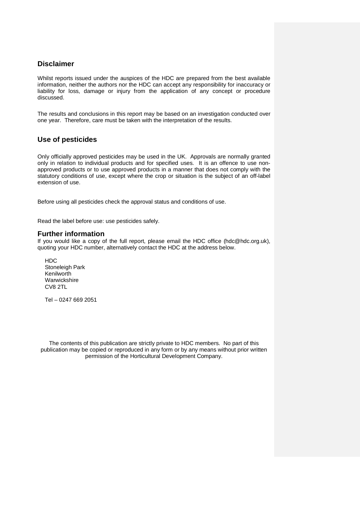# **Disclaimer**

Whilst reports issued under the auspices of the HDC are prepared from the best available information, neither the authors nor the HDC can accept any responsibility for inaccuracy or liability for loss, damage or injury from the application of any concept or procedure discussed.

The results and conclusions in this report may be based on an investigation conducted over one year. Therefore, care must be taken with the interpretation of the results.

# **Use of pesticides**

Only officially approved pesticides may be used in the UK. Approvals are normally granted only in relation to individual products and for specified uses. It is an offence to use nonapproved products or to use approved products in a manner that does not comply with the statutory conditions of use, except where the crop or situation is the subject of an off-label extension of use.

Before using all pesticides check the approval status and conditions of use.

Read the label before use: use pesticides safely.

# **Further information**

If you would like a copy of the full report, please email the HDC office (hdc@hdc.org.uk), quoting your HDC number, alternatively contact the HDC at the address below.

HDC Stoneleigh Park Kenilworth Warwickshire CV8 2TL

Tel – 0247 669 2051

The contents of this publication are strictly private to HDC members. No part of this publication may be copied or reproduced in any form or by any means without prior written permission of the Horticultural Development Company.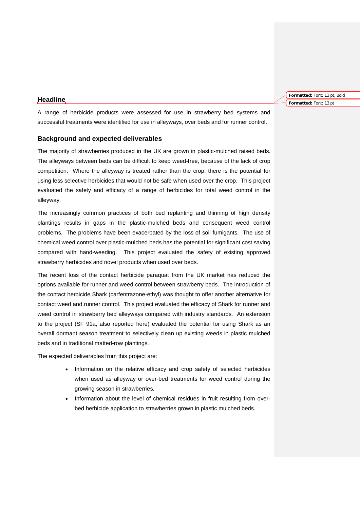## **Headline**

**Formatted:** Font: 13 pt, Bold **Formatted:** Font: 13 pt

A range of herbicide products were assessed for use in strawberry bed systems and successful treatments were identified for use in alleyways, over beds and for runner control.

### **Background and expected deliverables**

The majority of strawberries produced in the UK are grown in plastic-mulched raised beds. The alleyways between beds can be difficult to keep weed-free, because of the lack of crop competition. Where the alleyway is treated rather than the crop, there is the potential for using less selective herbicides that would not be safe when used over the crop. This project evaluated the safety and efficacy of a range of herbicides for total weed control in the alleyway.

The increasingly common practices of both bed replanting and thinning of high density plantings results in gaps in the plastic-mulched beds and consequent weed control problems. The problems have been exacerbated by the loss of soil fumigants. The use of chemical weed control over plastic-mulched beds has the potential for significant cost saving compared with hand-weeding. This project evaluated the safety of existing approved strawberry herbicides and novel products when used over beds.

The recent loss of the contact herbicide paraquat from the UK market has reduced the options available for runner and weed control between strawberry beds. The introduction of the contact herbicide Shark (carfentrazone-ethyl) was thought to offer another alternative for contact weed and runner control. This project evaluated the efficacy of Shark for runner and weed control in strawberry bed alleyways compared with industry standards. An extension to the project (SF 91a, also reported here) evaluated the potential for using Shark as an overall dormant season treatment to selectively clean up existing weeds in plastic mulched beds and in traditional matted-row plantings.

The expected deliverables from this project are:

- Information on the relative efficacy and crop safety of selected herbicides when used as alleyway or over-bed treatments for weed control during the growing season in strawberries.
- Information about the level of chemical residues in fruit resulting from overbed herbicide application to strawberries grown in plastic mulched beds.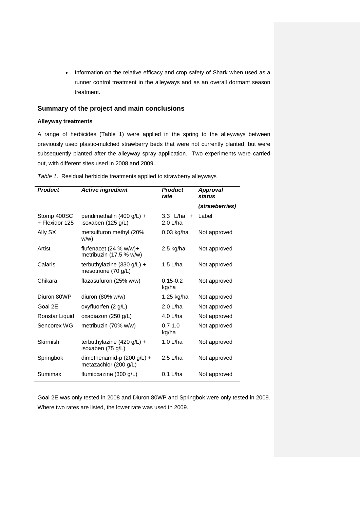• Information on the relative efficacy and crop safety of Shark when used as a runner control treatment in the alleyways and as an overall dormant season treatment.

# **Summary of the project and main conclusions**

#### **Alleyway treatments**

A range of herbicides (Table 1) were applied in the spring to the alleyways between previously used plastic-mulched strawberry beds that were not currently planted, but were subsequently planted after the alleyway spray application. Two experiments were carried out, with different sites used in 2008 and 2009.

| <b>Product</b>                | <b>Active ingredient</b>                            | <b>Product</b><br>rate        | <b>Approval</b><br>status |
|-------------------------------|-----------------------------------------------------|-------------------------------|---------------------------|
|                               |                                                     |                               | (strawberries)            |
| Stomp 400SC<br>+ Flexidor 125 | pendimethalin (400 g/L) +<br>isoxaben (125 g/L)     | $3.3$ L/ha<br>$+$<br>2.0 L/ha | Label                     |
| Ally SX                       | metsulfuron methyl (20%<br>w/w)                     | $0.03$ kg/ha                  | Not approved              |
| Artist                        | flufenacet $(24 % w/w)+$<br>metribuzin (17.5 % w/w) | $2.5$ kg/ha                   | Not approved              |
| Calaris                       | terbuthylazine $(330 g/L) +$<br>mesotrione (70 g/L) | 1.5 L/ha                      | Not approved              |
| Chikara                       | flazasufuron (25% w/w)                              | $0.15 - 0.2$<br>kg/ha         | Not approved              |
| Diuron 80WP                   | diuron $(80\% \text{ w/w})$                         | 1.25 kg/ha                    | Not approved              |
| Goal 2E                       | oxyfluorfen (2 g/L)                                 | 2.0 L/ha                      | Not approved              |
| Ronstar Liquid                | oxadiazon (250 g/L)                                 | 4.0 L/ha                      | Not approved              |
| Sencorex WG                   | metribuzin (70% w/w)                                | $0.7 - 1.0$<br>kg/ha          | Not approved              |
| Skirmish                      | terbuthylazine $(420 g/L) +$<br>isoxaben (75 g/L)   | 1.0 L/ha                      | Not approved              |
| Springbok                     | dimethenamid-p (200 g/L) +<br>metazachlor (200 g/L) | $2.5$ L/ha                    | Not approved              |
| Sumimax                       | flumioxazine (300 g/L)                              | $0.1$ L/ha                    | Not approved              |

*Table 1*. Residual herbicide treatments applied to strawberry alleyways

Goal 2E was only tested in 2008 and Diuron 80WP and Springbok were only tested in 2009. Where two rates are listed, the lower rate was used in 2009.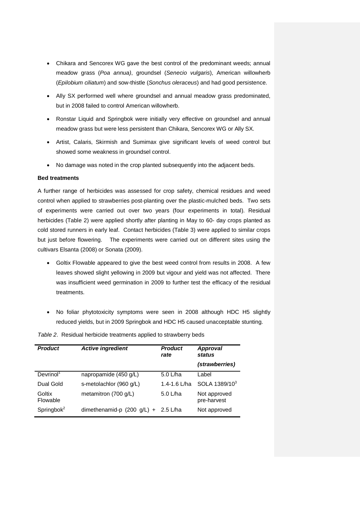- Chikara and Sencorex WG gave the best control of the predominant weeds; annual meadow grass (*Poa annua)*, groundsel (*Senecio vulgaris*), American willowherb (*Epilobium ciliatum*) and sow-thistle (*Sonchus oleraceus*) and had good persistence.
- Ally SX performed well where groundsel and annual meadow grass predominated, but in 2008 failed to control American willowherb.
- Ronstar Liquid and Springbok were initially very effective on groundsel and annual meadow grass but were less persistent than Chikara, Sencorex WG or Ally SX.
- Artist, Calaris, Skirmish and Sumimax give significant levels of weed control but showed some weakness in groundsel control.
- No damage was noted in the crop planted subsequently into the adjacent beds.

#### **Bed treatments**

A further range of herbicides was assessed for crop safety, chemical residues and weed control when applied to strawberries post-planting over the plastic-mulched beds. Two sets of experiments were carried out over two years (four experiments in total). Residual herbicides (Table 2) were applied shortly after planting in May to 60- day crops planted as cold stored runners in early leaf. Contact herbicides (Table 3) were applied to similar crops but just before flowering. The experiments were carried out on different sites using the cultivars Elsanta (2008) or Sonata (2009).

- Goltix Flowable appeared to give the best weed control from results in 2008. A few leaves showed slight yellowing in 2009 but vigour and yield was not affected. There was insufficient weed germination in 2009 to further test the efficacy of the residual treatments.
- No foliar phytotoxicity symptoms were seen in 2008 although HDC H5 slightly reduced yields, but in 2009 Springbok and HDC H5 caused unacceptable stunting.

| <b>Product</b>        | <b>Active ingredient</b>              | <b>Product</b><br>rate | <b>Approval</b><br>status   |
|-----------------------|---------------------------------------|------------------------|-----------------------------|
|                       |                                       |                        | (strawberries)              |
| Devrinol <sup>1</sup> | napropamide (450 g/L)                 | $5.0$ L/ha             | Label                       |
| Dual Gold             | s-metolachlor (960 q/L)               | 1.4-1.6 L/ha           | SOLA 1389/10 <sup>3</sup>   |
| Goltix<br>Flowable    | metamitron (700 g/L)                  | $5.0$ L/ha             | Not approved<br>pre-harvest |
| Springbo $k^2$        | dimethenamid-p $(200 g/L) + 2.5 L/ha$ |                        | Not approved                |

*Table 2*. Residual herbicide treatments applied to strawberry beds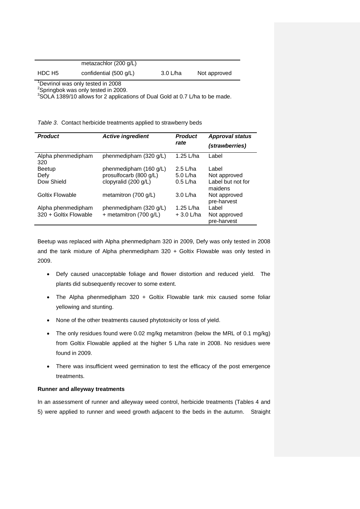|        | metazachlor $(200 g/L)$          |            |              |
|--------|----------------------------------|------------|--------------|
| HDC H5 | confidential $(500 \text{ g/L})$ | $3.0$ L/ha | Not approved |

1 Devrinol was only tested in 2008

<sup>2</sup>Springbok was only tested in 2009.

<sup>3</sup>SOLA 1389/10 allows for 2 applications of Dual Gold at 0.7 L/ha to be made.

*Table 3*. Contact herbicide treatments applied to strawberry beds

| <b>Product</b>            | <b>Active ingredient</b>       | <b>Product</b><br>rate | <b>Approval status</b><br>(strawberries) |
|---------------------------|--------------------------------|------------------------|------------------------------------------|
| Alpha phenmedipham<br>320 | phenmedipham (320 g/L)         | 1.25 L/ha              | Label                                    |
| <b>Beetup</b>             | phenmedipham (160 g/L)         | $2.5$ L/ha             | Label                                    |
| Defy                      | prosulfocarb (800 g/L)         | $5.0$ L/ha             | Not approved                             |
| Dow Shield                | clopyralid (200 g/L)           | $0.5$ L/ha             | Label but not for<br>maidens             |
| Goltix Flowable           | metamitron $(700 \text{ g/L})$ | $3.0$ L/ha             | Not approved<br>pre-harvest              |
| Alpha phenmedipham        | phenmedipham (320 g/L)         | 1.25 L/ha              | Label                                    |
| 320 + Goltix Flowable     | + metamitron (700 g/L)         | $+3.0$ L/ha            | Not approved<br>pre-harvest              |

Beetup was replaced with Alpha phenmedipham 320 in 2009, Defy was only tested in 2008 and the tank mixture of Alpha phenmedipham  $320 +$  Goltix Flowable was only tested in 2009.

- Defy caused unacceptable foliage and flower distortion and reduced yield. The plants did subsequently recover to some extent.
- The Alpha phenmedipham 320 + Goltix Flowable tank mix caused some foliar yellowing and stunting.
- None of the other treatments caused phytotoxicity or loss of yield.
- The only residues found were 0.02 mg/kg metamitron (below the MRL of 0.1 mg/kg) from Goltix Flowable applied at the higher 5 L/ha rate in 2008. No residues were found in 2009.
- There was insufficient weed germination to test the efficacy of the post emergence treatments.

### **Runner and alleyway treatments**

In an assessment of runner and alleyway weed control, herbicide treatments (Tables 4 and 5) were applied to runner and weed growth adjacent to the beds in the autumn. Straight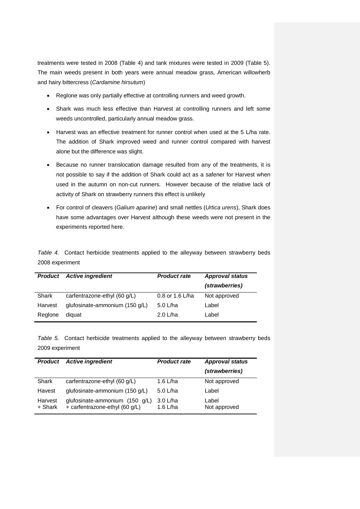treatments were tested in 2008 (Table 4) and tank mixtures were tested in 2009 (Table 5). The main weeds present in both years were annual meadow grass, American willowherb and hairy bittercress (*Cardamine hirsutum*)

- Reglone was only partially effective at controlling runners and weed growth.
- Shark was much less effective than Harvest at controlling runners and left some weeds uncontrolled, particularly annual meadow grass.
- Harvest was an effective treatment for runner control when used at the 5 L/ha rate. The addition of Shark improved weed and runner control compared with harvest alone but the difference was slight.
- Because no runner translocation damage resulted from any of the treatments, it is not possible to say if the addition of Shark could act as a safener for Harvest when used in the autumn on non-cut runners. However because of the relative lack of activity of Shark on strawberry runners this effect is unlikely
- For control of cleavers (*Galium aparine*) and small nettles (*Urtica urens*), Shark does have some advantages over Harvest although these weeds were not present in the experiments reported here.

*Table 4.* Contact herbicide treatments applied to the alleyway between strawberry beds 2008 experiment

| <b>Product</b> | <b>Active ingredient</b>       | <b>Product rate</b> | <b>Approval status</b> |
|----------------|--------------------------------|---------------------|------------------------|
|                |                                |                     | (strawberries)         |
| Shark          | carfentrazone-ethyl (60 g/L)   | 0.8 or 1.6 L/ha     | Not approved           |
| Harvest        | glufosinate-ammonium (150 g/L) | $5.0$ L/ha          | Label                  |
| Regione        | diquat                         | $2.0$ L/ha          | Label                  |

*Table 5.* Contact herbicide treatments applied to the alleyway between strawberry beds 2009 experiment

| <b>Product</b>     | <b>Active ingredient</b>                                         | <b>Product rate</b>      | <b>Approval status</b><br>(strawberries) |
|--------------------|------------------------------------------------------------------|--------------------------|------------------------------------------|
| Shark              | carfentrazone-ethyl (60 g/L)                                     | 1.6 L/ha                 | Not approved                             |
| Havest             | glufosinate-ammonium (150 g/L)                                   | $5.0$ L/ha               | Label                                    |
| Harvest<br>+ Shark | glufosinate-ammonium (150 g/L)<br>+ carfentrazone-ethyl (60 g/L) | $3.0$ L/ha<br>1.6 $L/ha$ | Label<br>Not approved                    |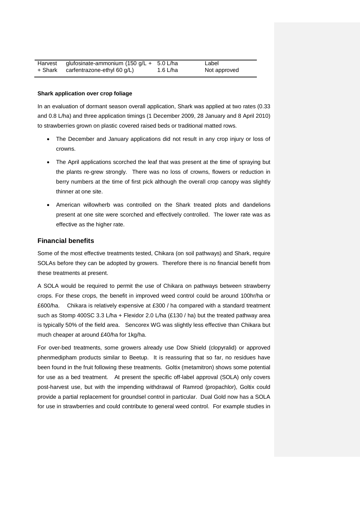| Harvest | glufosinate-ammonium (150 g/L + 5.0 L/ha |          | Label        |
|---------|------------------------------------------|----------|--------------|
| + Shark | carfentrazone-ethyl 60 g/L)              | 1.6 L/ha | Not approved |

#### **Shark application over crop foliage**

In an evaluation of dormant season overall application, Shark was applied at two rates (0.33 and 0.8 L/ha) and three application timings (1 December 2009, 28 January and 8 April 2010) to strawberries grown on plastic covered raised beds or traditional matted rows.

- The December and January applications did not result in any crop injury or loss of crowns.
- The April applications scorched the leaf that was present at the time of spraying but the plants re-grew strongly. There was no loss of crowns, flowers or reduction in berry numbers at the time of first pick although the overall crop canopy was slightly thinner at one site.
- American willowherb was controlled on the Shark treated plots and dandelions present at one site were scorched and effectively controlled. The lower rate was as effective as the higher rate.

#### **Financial benefits**

Some of the most effective treatments tested, Chikara (on soil pathways) and Shark, require SOLAs before they can be adopted by growers. Therefore there is no financial benefit from these treatments at present.

A SOLA would be required to permit the use of Chikara on pathways between strawberry crops. For these crops, the benefit in improved weed control could be around 100hr/ha or £600/ha. Chikara is relatively expensive at £300 / ha compared with a standard treatment such as Stomp 400SC 3.3 L/ha + Flexidor 2.0 L/ha (£130 / ha) but the treated pathway area is typically 50% of the field area. Sencorex WG was slightly less effective than Chikara but much cheaper at around £40/ha for 1kg/ha.

For over-bed treatments, some growers already use Dow Shield (clopyralid) or approved phenmedipham products similar to Beetup. It is reassuring that so far, no residues have been found in the fruit following these treatments. Goltix (metamitron) shows some potential for use as a bed treatment. At present the specific off-label approval (SOLA) only covers post-harvest use, but with the impending withdrawal of Ramrod (propachlor), Goltix could provide a partial replacement for groundsel control in particular. Dual Gold now has a SOLA for use in strawberries and could contribute to general weed control. For example studies in